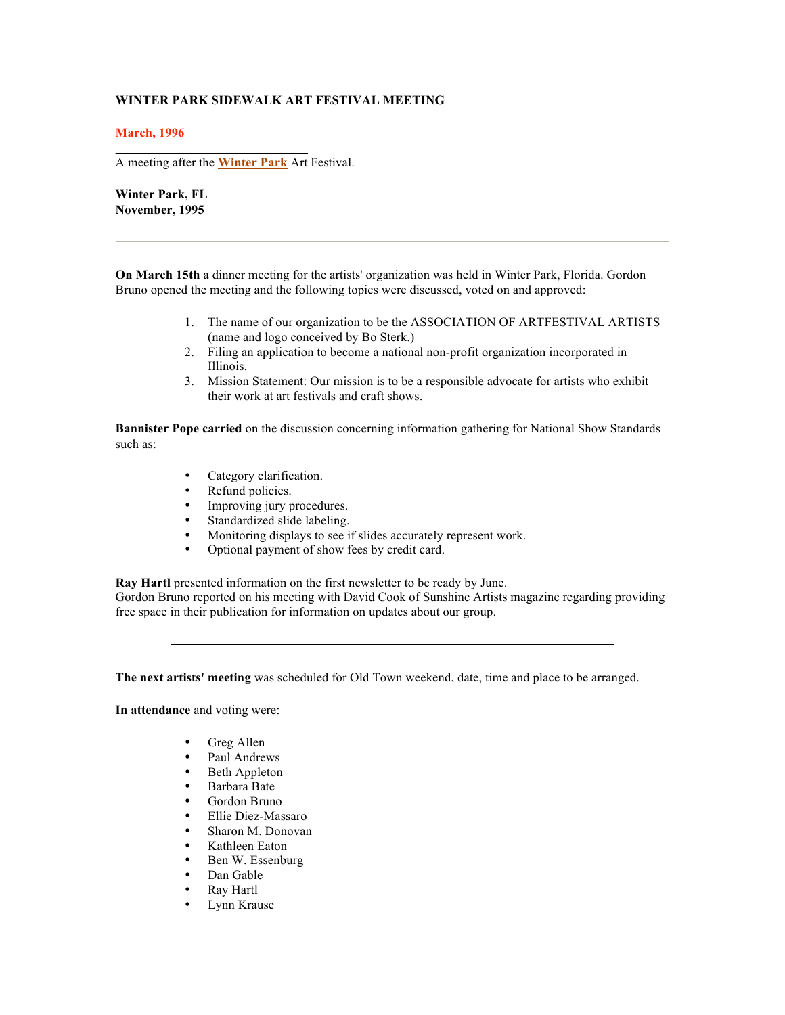## **WINTER PARK SIDEWALK ART FESTIVAL MEETING**

**March, 1996**

A meeting after the **Winter Park** Art Festival.

**Winter Park, FL November, 1995** 

**On March 15th** a dinner meeting for the artists' organization was held in Winter Park, Florida. Gordon Bruno opened the meeting and the following topics were discussed, voted on and approved:

- 1. The name of our organization to be the ASSOCIATION OF ARTFESTIVAL ARTISTS (name and logo conceived by Bo Sterk.)
- 2. Filing an application to become a national non-profit organization incorporated in Illinois.
- 3. Mission Statement: Our mission is to be a responsible advocate for artists who exhibit their work at art festivals and craft shows.

**Bannister Pope carried** on the discussion concerning information gathering for National Show Standards such as:

- Category clarification.
- Refund policies.
- Improving jury procedures.<br>• Standardized slide labeling
- Standardized slide labeling.
- Monitoring displays to see if slides accurately represent work.<br>• Optional payment of show fees by credit card.
- Optional payment of show fees by credit card.

**Ray Hartl** presented information on the first newsletter to be ready by June.

Gordon Bruno reported on his meeting with David Cook of Sunshine Artists magazine regarding providing free space in their publication for information on updates about our group.

**The next artists' meeting** was scheduled for Old Town weekend, date, time and place to be arranged.

**In attendance** and voting were:

- Greg Allen
- Paul Andrews<br>• Beth Appleton
- Beth Appleton
- Barbara Bate
- Gordon Bruno<br>• Ellie Diez-Mas
- Ellie Diez-Massaro
- Sharon M. Donovan
- Kathleen Eaton
- Ben W. Essenburg
- Dan Gable
- Ray Hartl
- Lynn Krause